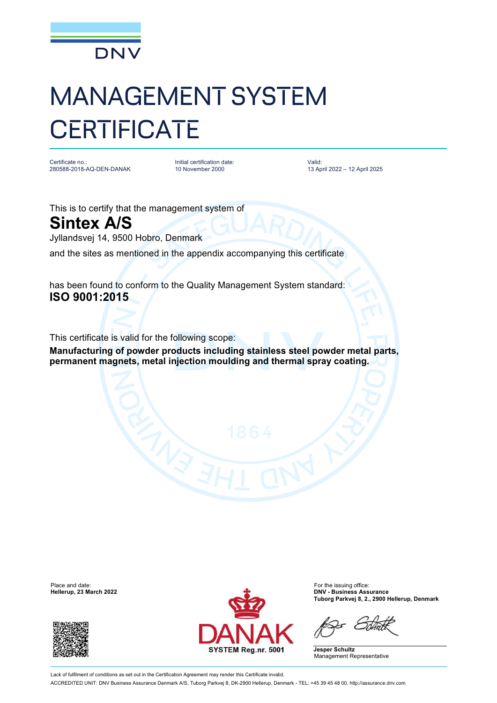

## MANAGEMENT SYSTEM **CERTIFICATE**

Certificate no.: 280588-2018-AQ-DEN-DANAK Initial certification date: 10 November 2000

Valid: 13 April 2022 – 12 April 2025

This is to certify that the management system of

**Sintex A/S**

Jyllandsvej 14, 9500 Hobro, Denmark

and the sites as mentioned in the appendix accompanying this certificate

has been found to conform to the Quality Management System standard: **ISO 9001:2015**

This certificate is valid for the following scope:

**Manufacturing of powder products including stainless steel powder metal parts, permanent magnets, metal injection moulding and thermal spray coating.**

 $H$ ellerup, 23 March 2022





**Tuborg Parkvej 8, 2., 2900 Hellerup, Denmark**

**Jesper Schultz** Management Representative

Lack of fulfilment of conditions as set out in the Certification Agreement may render this Certificate invalid. ACCREDITED UNIT: DNV Business Assurance Denmark A/S, Tuborg Parkvej 8, DK-2900 Hellerup, Denmark - TEL: +45 39 45 48 00. <http://assurance.dnv.com>